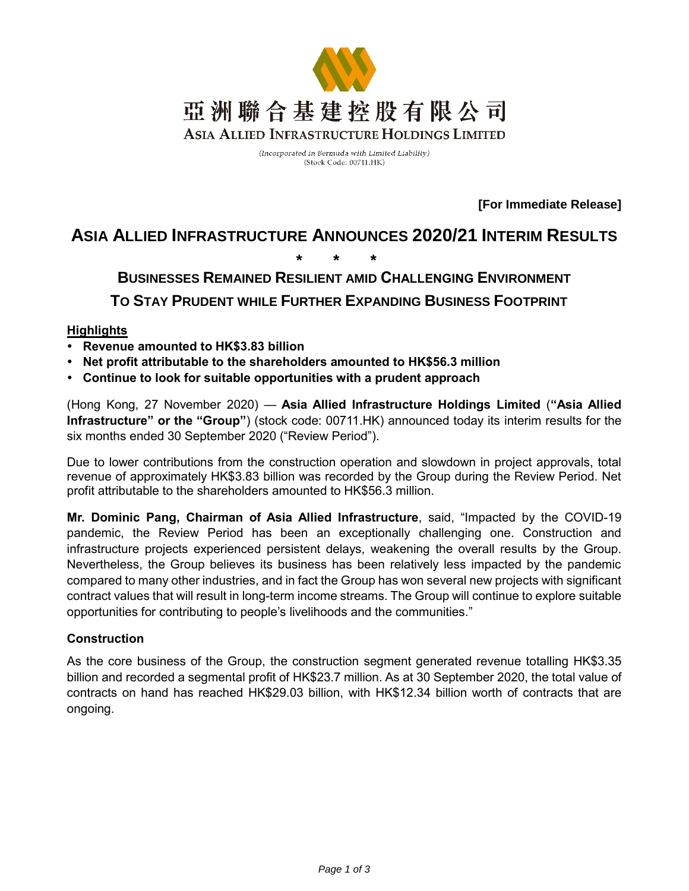

(Incorporated in Bermuda with Limited Liability) (Stock Code: 00711.HK)

**[For Immediate Release]**

# **ASIA ALLIED INFRASTRUCTURE ANNOUNCES 2020/21 INTERIM RESULTS**

## **\* \* \* BUSINESSES REMAINED RESILIENT AMID CHALLENGING ENVIRONMENT TO STAY PRUDENT WHILE FURTHER EXPANDING BUSINESS FOOTPRINT**

## **Highlights**

- **Revenue amounted to HK\$3.83 billion**
- **Net profit attributable to the shareholders amounted to HK\$56.3 million**
- **Continue to look for suitable opportunities with a prudent approach**

(Hong Kong, 27 November 2020) — **Asia Allied Infrastructure Holdings Limited** (**"Asia Allied Infrastructure" or the "Group"**) (stock code: 00711.HK) announced today its interim results for the six months ended 30 September 2020 ("Review Period").

Due to lower contributions from the construction operation and slowdown in project approvals, total revenue of approximately HK\$3.83 billion was recorded by the Group during the Review Period. Net profit attributable to the shareholders amounted to HK\$56.3 million.

**Mr. Dominic Pang, Chairman of Asia Allied Infrastructure**, said, "Impacted by the COVID-19 pandemic, the Review Period has been an exceptionally challenging one. Construction and infrastructure projects experienced persistent delays, weakening the overall results by the Group. Nevertheless, the Group believes its business has been relatively less impacted by the pandemic compared to many other industries, and in fact the Group has won several new projects with significant contract values that will result in long-term income streams. The Group will continue to explore suitable opportunities for contributing to people's livelihoods and the communities."

## **Construction**

As the core business of the Group, the construction segment generated revenue totalling HK\$3.35 billion and recorded a segmental profit of HK\$23.7 million. As at 30 September 2020, the total value of contracts on hand has reached HK\$29.03 billion, with HK\$12.34 billion worth of contracts that are ongoing.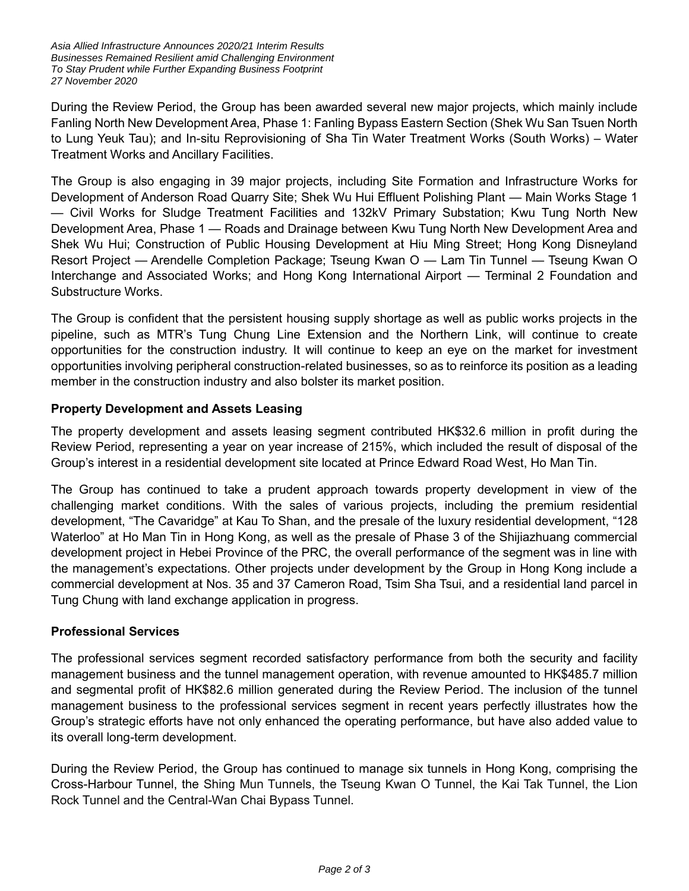During the Review Period, the Group has been awarded several new major projects, which mainly include Fanling North New Development Area, Phase 1: Fanling Bypass Eastern Section (Shek Wu San Tsuen North to Lung Yeuk Tau); and In-situ Reprovisioning of Sha Tin Water Treatment Works (South Works) – Water Treatment Works and Ancillary Facilities.

The Group is also engaging in 39 major projects, including Site Formation and Infrastructure Works for Development of Anderson Road Quarry Site; Shek Wu Hui Effluent Polishing Plant — Main Works Stage 1 — Civil Works for Sludge Treatment Facilities and 132kV Primary Substation; Kwu Tung North New Development Area, Phase 1 — Roads and Drainage between Kwu Tung North New Development Area and Shek Wu Hui; Construction of Public Housing Development at Hiu Ming Street; Hong Kong Disneyland Resort Project — Arendelle Completion Package; Tseung Kwan O — Lam Tin Tunnel — Tseung Kwan O Interchange and Associated Works; and Hong Kong International Airport — Terminal 2 Foundation and Substructure Works.

The Group is confident that the persistent housing supply shortage as well as public works projects in the pipeline, such as MTR's Tung Chung Line Extension and the Northern Link, will continue to create opportunities for the construction industry. It will continue to keep an eye on the market for investment opportunities involving peripheral construction-related businesses, so as to reinforce its position as a leading member in the construction industry and also bolster its market position.

## **Property Development and Assets Leasing**

The property development and assets leasing segment contributed HK\$32.6 million in profit during the Review Period, representing a year on year increase of 215%, which included the result of disposal of the Group's interest in a residential development site located at Prince Edward Road West, Ho Man Tin.

The Group has continued to take a prudent approach towards property development in view of the challenging market conditions. With the sales of various projects, including the premium residential development, "The Cavaridge" at Kau To Shan, and the presale of the luxury residential development, "128 Waterloo" at Ho Man Tin in Hong Kong, as well as the presale of Phase 3 of the Shijiazhuang commercial development project in Hebei Province of the PRC, the overall performance of the segment was in line with the management's expectations. Other projects under development by the Group in Hong Kong include a commercial development at Nos. 35 and 37 Cameron Road, Tsim Sha Tsui, and a residential land parcel in Tung Chung with land exchange application in progress.

## **Professional Services**

The professional services segment recorded satisfactory performance from both the security and facility management business and the tunnel management operation, with revenue amounted to HK\$485.7 million and segmental profit of HK\$82.6 million generated during the Review Period. The inclusion of the tunnel management business to the professional services segment in recent years perfectly illustrates how the Group's strategic efforts have not only enhanced the operating performance, but have also added value to its overall long-term development.

During the Review Period, the Group has continued to manage six tunnels in Hong Kong, comprising the Cross-Harbour Tunnel, the Shing Mun Tunnels, the Tseung Kwan O Tunnel, the Kai Tak Tunnel, the Lion Rock Tunnel and the Central-Wan Chai Bypass Tunnel.